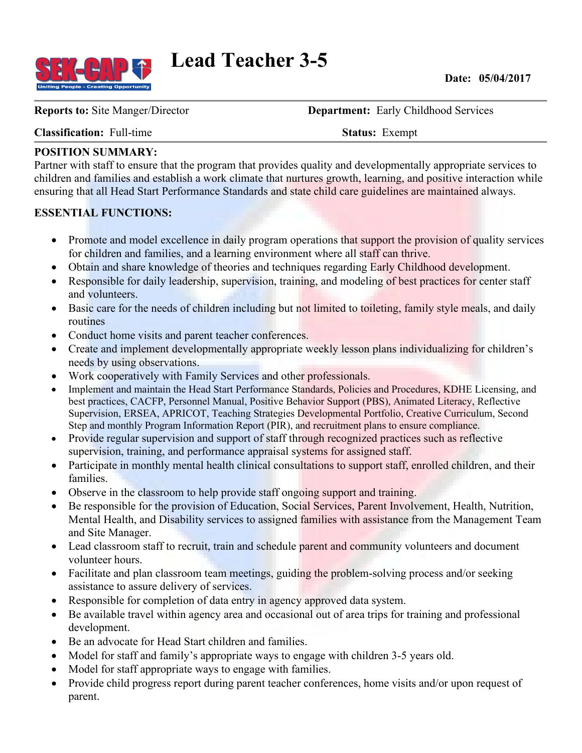

**Lead Teacher 3-5**

**Date: 05/04/2017**

**Reports to:** Site Manger/Director **Department:** Early Childhood Services

**Classification:** Full-time **Status:** Exempt

#### **POSITION SUMMARY:**

Partner with staff to ensure that the program that provides quality and developmentally appropriate services to children and families and establish a work climate that nurtures growth, learning, and positive interaction while ensuring that all Head Start Performance Standards and state child care guidelines are maintained always.

#### **ESSENTIAL FUNCTIONS:**

- Promote and model excellence in daily program operations that support the provision of quality services for children and families, and a learning environment where all staff can thrive.
- Obtain and share knowledge of theories and techniques regarding Early Childhood development.
- Responsible for daily leadership, supervision, training, and modeling of best practices for center staff and volunteers.
- Basic care for the needs of children including but not limited to toileting, family style meals, and daily routines
- Conduct home visits and parent teacher conferences.
- Create and implement developmentally appropriate weekly lesson plans individualizing for children's needs by using observations.
- Work cooperatively with Family Services and other professionals.
- Implement and maintain the Head Start Performance Standards, Policies and Procedures, KDHE Licensing, and best practices, CACFP, Personnel Manual, Positive Behavior Support (PBS), Animated Literacy, Reflective Supervision, ERSEA, APRICOT, Teaching Strategies Developmental Portfolio, Creative Curriculum, Second Step and monthly Program Information Report (PIR), and recruitment plans to ensure compliance.
- Provide regular supervision and support of staff through recognized practices such as reflective supervision, training, and performance appraisal systems for assigned staff.
- Participate in monthly mental health clinical consultations to support staff, enrolled children, and their families.
- Observe in the classroom to help provide staff ongoing support and training.
- Be responsible for the provision of Education, Social Services, Parent Involvement, Health, Nutrition, Mental Health, and Disability services to assigned families with assistance from the Management Team and Site Manager.
- Lead classroom staff to recruit, train and schedule parent and community volunteers and document volunteer hours.
- Facilitate and plan classroom team meetings, guiding the problem-solving process and/or seeking assistance to assure delivery of services.
- Responsible for completion of data entry in agency approved data system.
- Be available travel within agency area and occasional out of area trips for training and professional development.
- Be an advocate for Head Start children and families.
- Model for staff and family's appropriate ways to engage with children 3-5 years old.
- Model for staff appropriate ways to engage with families.
- Provide child progress report during parent teacher conferences, home visits and/or upon request of parent.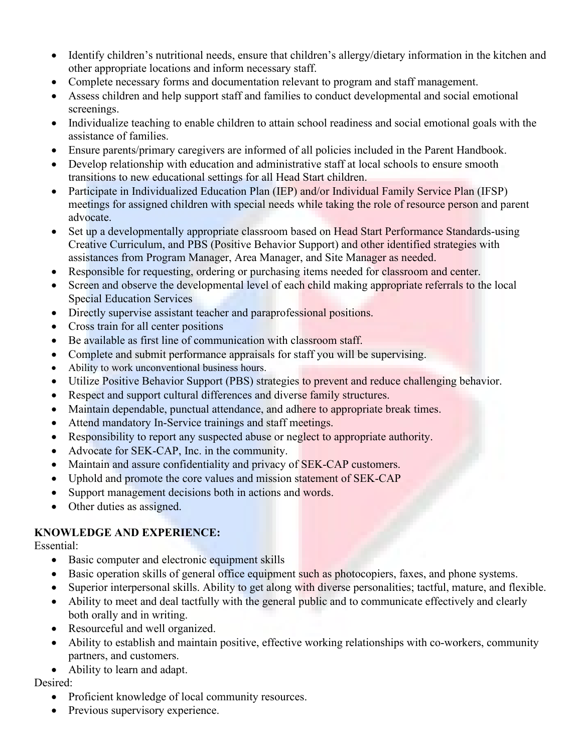- Identify children's nutritional needs, ensure that children's allergy/dietary information in the kitchen and other appropriate locations and inform necessary staff.
- Complete necessary forms and documentation relevant to program and staff management.
- Assess children and help support staff and families to conduct developmental and social emotional screenings.
- Individualize teaching to enable children to attain school readiness and social emotional goals with the assistance of families.
- Ensure parents/primary caregivers are informed of all policies included in the Parent Handbook.
- Develop relationship with education and administrative staff at local schools to ensure smooth transitions to new educational settings for all Head Start children.
- Participate in Individualized Education Plan (IEP) and/or Individual Family Service Plan (IFSP) meetings for assigned children with special needs while taking the role of resource person and parent advocate.
- Set up a developmentally appropriate classroom based on Head Start Performance Standards-using Creative Curriculum, and PBS (Positive Behavior Support) and other identified strategies with assistances from Program Manager, Area Manager, and Site Manager as needed.
- Responsible for requesting, ordering or purchasing items needed for classroom and center.
- Screen and observe the developmental level of each child making appropriate referrals to the local Special Education Services
- Directly supervise assistant teacher and paraprofessional positions.
- Cross train for all center positions
- Be available as first line of communication with classroom staff.
- Complete and submit performance appraisals for staff you will be supervising.
- Ability to work unconventional business hours.
- Utilize Positive Behavior Support (PBS) strategies to prevent and reduce challenging behavior.
- Respect and support cultural differences and diverse family structures.
- Maintain dependable, punctual attendance, and adhere to appropriate break times.
- Attend mandatory In-Service trainings and staff meetings.
- Responsibility to report any suspected abuse or neglect to appropriate authority.
- Advocate for SEK-CAP, Inc. in the community.
- Maintain and assure confidentiality and privacy of SEK-CAP customers.
- Uphold and promote the core values and mission statement of SEK-CAP
- Support management decisions both in actions and words.
- Other duties as assigned.

#### **KNOWLEDGE AND EXPERIENCE:**

Essential:

- Basic computer and electronic equipment skills
- Basic operation skills of general office equipment such as photocopiers, faxes, and phone systems.
- Superior interpersonal skills. Ability to get along with diverse personalities; tactful, mature, and flexible.
- Ability to meet and deal tactfully with the general public and to communicate effectively and clearly both orally and in writing.
- Resourceful and well organized.
- Ability to establish and maintain positive, effective working relationships with co-workers, community partners, and customers.
- Ability to learn and adapt.

## Desired:

- Proficient knowledge of local community resources.
- Previous supervisory experience.